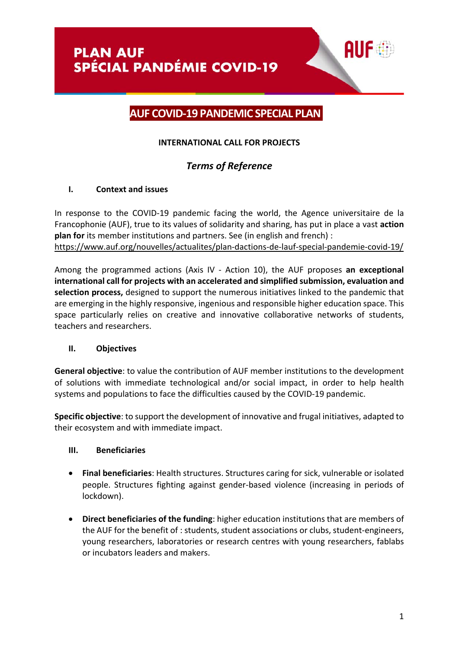# **AUF COVID-19 PANDEMIC SPECIAL PLAN**

# **INTERNATIONAL CALL FOR PROJECTS**

# *Terms of Reference*

# **I. Context and issues**

In response to the COVID-19 pandemic facing the world, the Agence universitaire de la Francophonie (AUF), true to its values of solidarity and sharing, has put in place a vast **action plan for** its member institutions and partners. See (in english and french) : <https://www.auf.org/nouvelles/actualites/plan-dactions-de-lauf-special-pandemie-covid-19/>

Among the programmed actions (Axis IV - Action 10), the AUF proposes **an exceptional international call for projects with an accelerated and simplified submission, evaluation and selection process,** designed to support the numerous initiatives linked to the pandemic that are emerging in the highly responsive, ingenious and responsible higher education space. This space particularly relies on creative and innovative collaborative networks of students, teachers and researchers.

# **II. Objectives**

**General objective**: to value the contribution of AUF member institutions to the development of solutions with immediate technological and/or social impact, in order to help health systems and populations to face the difficulties caused by the COVID-19 pandemic.

**Specific objective**: to support the development of innovative and frugal initiatives, adapted to their ecosystem and with immediate impact.

# **III. Beneficiaries**

- **Final beneficiaries**: Health structures. Structures caring for sick, vulnerable or isolated people. Structures fighting against gender-based violence (increasing in periods of lockdown).
- **Direct beneficiaries of the funding**: higher education institutions that are members of the AUF for the benefit of : students, student associations or clubs, student-engineers, young researchers, laboratories or research centres with young researchers, fablabs or incubators leaders and makers.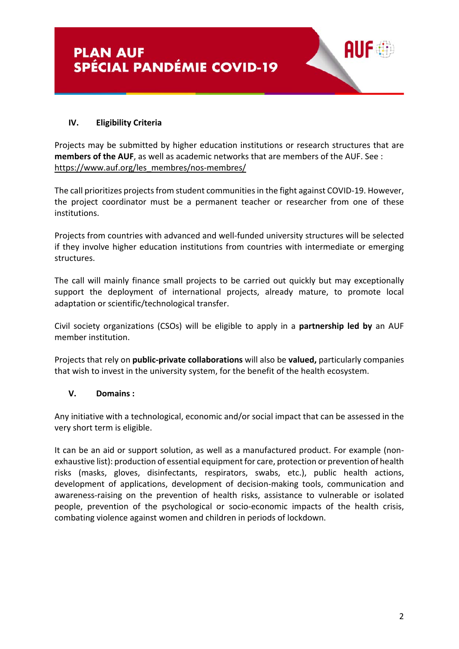### **IV. Eligibility Criteria**

Projects may be submitted by higher education institutions or research structures that are **members of the AUF**, as well as academic networks that are members of the AUF. See : [https://www.auf.org/les\\_membres/nos-membres/](https://www.auf.org/les_membres/nos-membres/)

The call prioritizes projects from student communities in the fight against COVID-19. However, the project coordinator must be a permanent teacher or researcher from one of these institutions.

Projects from countries with advanced and well-funded university structures will be selected if they involve higher education institutions from countries with intermediate or emerging structures.

The call will mainly finance small projects to be carried out quickly but may exceptionally support the deployment of international projects, already mature, to promote local adaptation or scientific/technological transfer.

Civil society organizations (CSOs) will be eligible to apply in a **partnership led by** an AUF member institution.

Projects that rely on **public-private collaborations** will also be **valued,** particularly companies that wish to invest in the university system, for the benefit of the health ecosystem.

#### **V. Domains :**

Any initiative with a technological, economic and/or social impact that can be assessed in the very short term is eligible.

It can be an aid or support solution, as well as a manufactured product. For example (nonexhaustive list): production of essential equipment for care, protection or prevention of health risks (masks, gloves, disinfectants, respirators, swabs, etc.), public health actions, development of applications, development of decision-making tools, communication and awareness-raising on the prevention of health risks, assistance to vulnerable or isolated people, prevention of the psychological or socio-economic impacts of the health crisis, combating violence against women and children in periods of lockdown.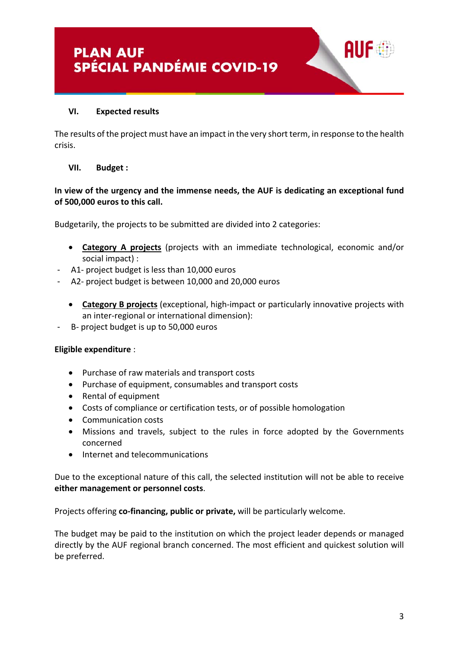

#### **VI. Expected results**

The results of the project must have an impact in the very short term, in response to the health crisis.

#### **VII. Budget :**

# **In view of the urgency and the immense needs, the AUF is dedicating an exceptional fund of 500,000 euros to this call.**

Budgetarily, the projects to be submitted are divided into 2 categories:

- **Category A projects** (projects with an immediate technological, economic and/or social impact) :
- A1- project budget is less than 10,000 euros
- A2- project budget is between 10,000 and 20,000 euros
	- **Category B projects** (exceptional, high-impact or particularly innovative projects with an inter-regional or international dimension):
- B- project budget is up to 50,000 euros

#### **Eligible expenditure** :

- Purchase of raw materials and transport costs
- Purchase of equipment, consumables and transport costs
- Rental of equipment
- Costs of compliance or certification tests, or of possible homologation
- Communication costs
- Missions and travels, subject to the rules in force adopted by the Governments concerned
- Internet and telecommunications

Due to the exceptional nature of this call, the selected institution will not be able to receive **either management or personnel costs**.

Projects offering **co-financing, public or private,** will be particularly welcome.

The budget may be paid to the institution on which the project leader depends or managed directly by the AUF regional branch concerned. The most efficient and quickest solution will be preferred.